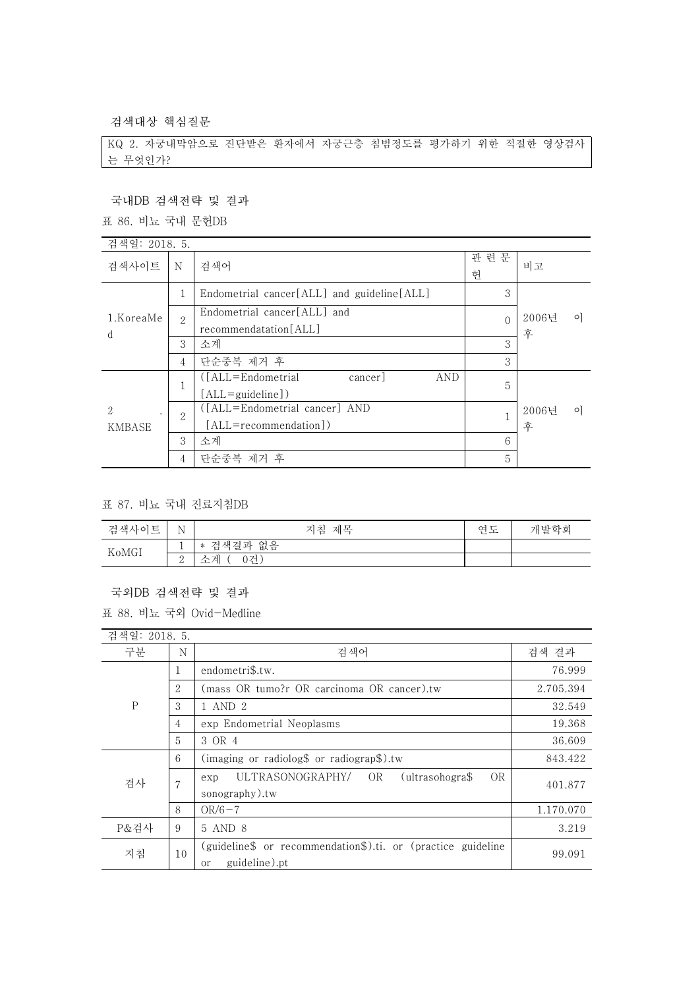검색대상 핵심질문

KQ 2. 자궁내막암으로 진단받은 환자에서 자궁근층 침범정도를 평가하기 위한 적절한 영상검사 는 무엇인가?

# 국내DB 검색전략 및 결과

| 국내DB 검색전략 및 결과   |                   |                                                                                        |              |                       |  |
|------------------|-------------------|----------------------------------------------------------------------------------------|--------------|-----------------------|--|
| 표 86. 비뇨 국내 문헌DB |                   |                                                                                        |              |                       |  |
| 검색일: 2018. 5.    |                   |                                                                                        |              |                       |  |
| 검색사이트            | N                 | 검색어                                                                                    | 관련문<br>헌     | 비고                    |  |
|                  | 1                 | Endometrial cancer[ALL] and guideline[ALL]                                             | 3            |                       |  |
| 1.KoreaMe<br>d   | $\mathcal{D}_{1}$ | Endometrial cancer[ALL] and<br>recommendatation[ALL]                                   | $\theta$     | 2006년<br>$\circ$<br>후 |  |
|                  | 3                 | 소계                                                                                     | 3            |                       |  |
|                  | 4                 | 단순중복 제거 후                                                                              | 3            |                       |  |
|                  | 1                 | $(LALL = Endometrial)$<br><b>AND</b><br>cancer <sup>1</sup><br>$[ALL = \{quideline\}]$ | 5            |                       |  |
| 2<br>KMBASE      | $\overline{2}$    | ([ALL=Endometrial cancer] AND<br>[ALL=recommendation])                                 | $\mathbf{1}$ | 2006년<br>$\circ$<br>후 |  |
|                  | 3                 | 소계                                                                                     | 6            |                       |  |
|                  | 4                 | 단순중복 제거 후                                                                              | 5            |                       |  |

#### 표 87. 비뇨 국내 진료지침DB

| 검색사이트 | N<br>$\mathbf{r}$ | 제목<br>지침                                                   | 연도 | 개발학회 |
|-------|-------------------|------------------------------------------------------------|----|------|
| KoMGI | <b>.</b>          | 없음<br>결과<br>색<br>-74<br>$\ast$<br>$\overline{\phantom{a}}$ |    |      |
|       | ↵                 | 0건<br>게<br>ᅩ                                               |    |      |

#### 국외DB 검색전략 및 결과

표 88. 비뇨 국외 Ovid-Medline

| 검색일: 2018. 5. |                |                                                                                                |           |
|---------------|----------------|------------------------------------------------------------------------------------------------|-----------|
| 구분            | N              | 검색어                                                                                            | 검색 결과     |
| $\mathbf P$   | 1              | endometri\$.tw.                                                                                | 76.999    |
|               | 2              | (mass OR tumo?r OR carcinoma OR cancer).tw                                                     | 2.705.394 |
|               | 3              | 1 AND 2                                                                                        | 32.549    |
|               | $\overline{4}$ | exp Endometrial Neoplasms                                                                      | 19.368    |
|               | 5              | 3 OR 4                                                                                         | 36.609    |
| 검사            | 6              | (imaging or radiolog\$ or radiograp\$).tw                                                      | 843.422   |
|               | 7              | OR<br><b>OR</b><br>ULTRASONOGRAPHY/<br>(ultrasohogra\$<br>exp<br>sonography).tw                | 401.877   |
|               | 8              | $OR/6-7$                                                                                       | 1.170.070 |
| P&검사          | 9              | 5 AND 8                                                                                        | 3.219     |
| 지침            | 10             | (guideline\$ or recommendation\$).ti. or (practice guideline<br>guideline).pt<br><sub>or</sub> | 99.091    |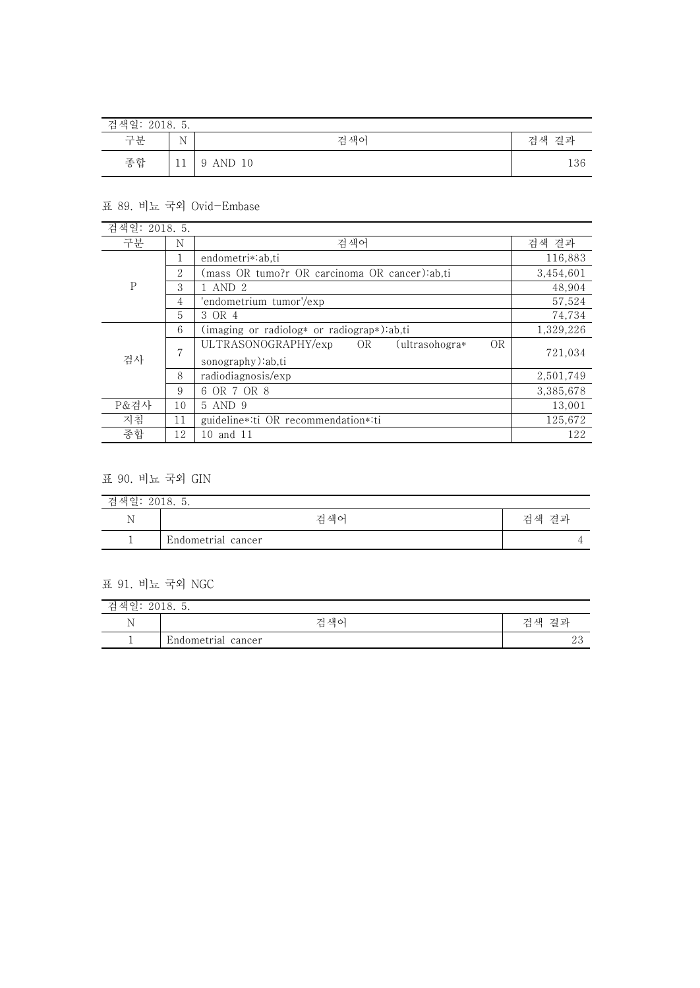| 검색일: 2018. 5. |             |          |       |
|---------------|-------------|----------|-------|
| 구분            | $\mathbf N$ | 검색어      | 검색 결과 |
| 종합            |             | 9 AND 10 | 136   |

### 표 89. 비뇨 국외 Ovid-Embase

| 검색일: 2018. 5. |    |                                                                                |           |
|---------------|----|--------------------------------------------------------------------------------|-----------|
| 구분            | N  | 검색어                                                                            | 검색 결과     |
|               |    | endometri*:ab.ti                                                               | 116,883   |
|               | 2  | (mass OR tumo?r OR carcinoma OR cancer):ab.ti                                  | 3,454,601 |
| ${\bf P}$     | 3  | 1 AND 2                                                                        | 48.904    |
|               | 4  | 'endometrium tumor'/exp                                                        | 57,524    |
|               | 5  | 3 OR 4                                                                         | 74,734    |
|               | 6  | (imaging or radiolog* or radiograp*):ab,ti                                     | 1,329,226 |
| 검사            | 7  | ULTRASONOGRAPHY/exp<br><b>OR</b><br>OR.<br>ultrasohogra*)<br>sonography):ab,ti | 721,034   |
|               | 8  | radiodiagnosis/exp                                                             | 2,501,749 |
|               | 9  | 6 OR 7 OR 8                                                                    | 3,385,678 |
| P&검사          | 10 | 5 AND 9                                                                        | 13,001    |
| 지침            | 11 | guideline*:ti OR recommendation*:ti                                            | 125,672   |
| 종합            | 12 | 10 and 11                                                                      | 122       |

# 표 90. 비뇨 국외 GIN

| 검색일: 2018. 5. |                    |       |  |
|---------------|--------------------|-------|--|
|               | 검색어                | 검색 결과 |  |
|               | Endometrial cancer |       |  |

### 표 91. 비뇨 국외 NGC

| 색일<br>7à<br>-<br>2010.<br>. . |                    |           |  |
|-------------------------------|--------------------|-----------|--|
| N                             | 검색어                | 결과<br>검색  |  |
|                               | Endometrial cancer | ດເ<br>ں ے |  |